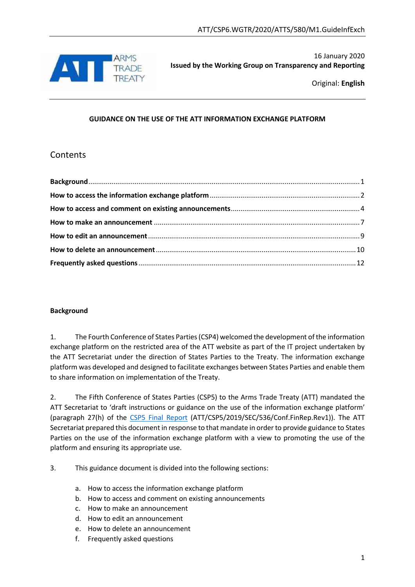

16 January 2020 **Issued by the Working Group on Transparency and Reporting**

Original: **English**

# **GUIDANCE ON THE USE OF THE ATT INFORMATION EXCHANGE PLATFORM**

# Contents

# <span id="page-0-0"></span>**Background**

1. The Fourth Conference of States Parties (CSP4) welcomed the development of the information exchange platform on the restricted area of the ATT website as part of the IT project undertaken by the ATT Secretariat under the direction of States Parties to the Treaty. The information exchange platform was developed and designed to facilitate exchanges between States Parties and enable them to share information on implementation of the Treaty.

2. The Fifth Conference of States Parties (CSP5) to the Arms Trade Treaty (ATT) mandated the ATT Secretariat to 'draft instructions or guidance on the use of the information exchange platform' (paragraph 27(h) of the [CSP5 Final Report](https://www.thearmstradetreaty.org/hyper-images/file/CSP5%20Final%20Report%20(ATT.CSP5.2019.SEC.536.Con.FinRep.Rev1)%20-%2030%20August%202019%20(final)/CSP5%20Final%20Report%20(ATT.CSP5.2019.SEC.536.Con.FinRep.Rev1)%20-%2030%20August%202019%20(final).pdf) (ATT/CSP5/2019/SEC/536/Conf.FinRep.Rev1)). The ATT Secretariat prepared this document in response to that mandate in order to provide guidance to States Parties on the use of the information exchange platform with a view to promoting the use of the platform and ensuring its appropriate use.

3. This guidance document is divided into the following sections:

- a. How to access the information exchange platform
- b. How to access and comment on existing announcements
- c. How to make an announcement
- d. How to edit an announcement
- e. How to delete an announcement
- f. Frequently asked questions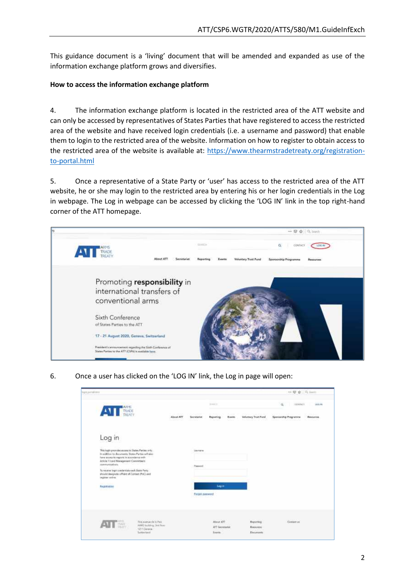This guidance document is a 'living' document that will be amended and expanded as use of the information exchange platform grows and diversifies.

# <span id="page-1-0"></span>**How to access the information exchange platform**

4. The information exchange platform is located in the restricted area of the ATT website and can only be accessed by representatives of States Parties that have registered to access the restricted area of the website and have received login credentials (i.e. a username and password) that enable them to login to the restricted area of the website. Information on how to register to obtain access to the restricted area of the website is available at: [https://www.thearmstradetreaty.org/registration](https://www.thearmstradetreaty.org/registration-to-portal.html)[to-portal.html](https://www.thearmstradetreaty.org/registration-to-portal.html)

5. Once a representative of a State Party or 'user' has access to the restricted area of the ATT website, he or she may login to the restricted area by entering his or her login credentials in the Log in webpage. The Log in webpage can be accessed by clicking the 'LOG IN' link in the top right-hand corner of the ATT homepage.



6. Once a user has clicked on the 'LOG IN' link, the Log in page will open:

| Notification<br>President and Ad                                                                                                                                                                                                                   |                          |                                |                                                 |                               |                                                          | $\rightarrow$ $\overline{w}$ $\phi$ $\overline{u}$ issues |                                |
|----------------------------------------------------------------------------------------------------------------------------------------------------------------------------------------------------------------------------------------------------|--------------------------|--------------------------------|-------------------------------------------------|-------------------------------|----------------------------------------------------------|-----------------------------------------------------------|--------------------------------|
| <b>ARPE</b><br>TRANCH<br>AM T                                                                                                                                                                                                                      |                          |                                | <b>Sheet St</b>                                 |                               |                                                          | <b>ELBIRCT</b><br>ä                                       | 1013-96                        |
|                                                                                                                                                                                                                                                    | 2090<br><b>About ATT</b> | saanno<br>Secretarias<br>- - - | 00211122<br><b>Hoperting</b><br><b>TAN PAR</b>  | 37231<br><b>Byentts</b><br>wa | <b>Provident Collect</b><br><b>Unfortuny Trust Foret</b> | Spensorship Programme<br>loochi in r                      | <b><i><u>Researces</u></i></b> |
| Log in                                                                                                                                                                                                                                             |                          |                                |                                                 |                               |                                                          |                                                           |                                |
| This login provides assume to States Plates only.<br>In addition to decuments, Sister Parties will also<br>falser acceler to regions in accessional with<br>Article 13 and Management Committee's<br>The Party Company of the<br>constructions and |                          | Leas manner<br><b>Canwell</b>  |                                                 |                               |                                                          |                                                           |                                |
| forecess topy credentals sech State Party<br>should designess a Point of Contact (PoC) and<br>register seding                                                                                                                                      |                          |                                |                                                 |                               |                                                          |                                                           |                                |
| enconcerta<br><b>Registration</b><br><b>THE REAL PROPERTY</b>                                                                                                                                                                                      |                          | <b>Forsiot averessed</b>       | <b>Locie</b><br>MD 65                           |                               |                                                          |                                                           |                                |
| <b>This assessments to Park</b><br>IT No.<br>1211 Delawa<br>Switchtein                                                                                                                                                                             | WMO leaking, 2nd floor   |                                | Also at ATT<br>ATT Serrerarkit<br><b>Roomer</b> |                               | <b>Reporting</b><br>Bismanne<br>Documents                | Comatt et                                                 |                                |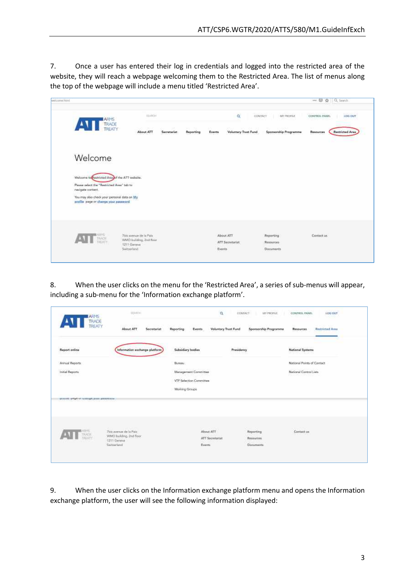7. Once a user has entered their log in credentials and logged into the restricted area of the website, they will reach a webpage welcoming them to the Restricted Area. The list of menus along the top of the webpage will include a menu titled 'Restricted Area'.

| wetcome.html |                                                                                                                    |                            |                                                      |                       |               |               |                              |                        |               | → 图 ☆ Q_Seaich  |
|--------------|--------------------------------------------------------------------------------------------------------------------|----------------------------|------------------------------------------------------|-----------------------|---------------|---------------|------------------------------|------------------------|---------------|-----------------|
|              | ARMS<br>$\mathbf{v}$<br>TRADE<br>TREATY                                                                            |                            | <b>Hisikhi</b><br>美味のよ<br>o Co                       | $\sim$ 1.1<br>Alberta | Service Photo | $\sim$        | $\alpha$<br>EDWART<br>ETS.   | MY PECIFILE<br>THEFT.  | CONTROL PANEL | LDG OUT         |
|              |                                                                                                                    |                            | About ATT                                            | Secretariat           | Reporting     | Events        | Voluntary Trust Fund         | Spensorship Programme  | Resources     | Restricted Area |
|              | Welcome                                                                                                            |                            |                                                      |                       |               |               |                              |                        |               |                 |
|              | Welcome to Restricted Area of the ATT website.<br>Please select the "Restricted Area" tabi to<br>nevigate content. |                            |                                                      |                       |               |               |                              |                        |               |                 |
|              | You may also check your personal data on My<br>profile page or change your pease only                              |                            |                                                      |                       |               |               |                              |                        |               |                 |
|              | <b>TAYO</b><br>TAYOT                                                                                               |                            | Tois metature de la Paix<br>WMO turlifing, 2nd fixed |                       |               |               | About ATT<br>ATT Socretatiot | Reporting<br>Resources | Contact us.   |                 |
|              |                                                                                                                    | 1211 Geneva<br>Switzerland |                                                      |                       |               | <b>Events</b> |                              | Documents              |               |                 |

8. When the user clicks on the menu for the 'Restricted Area', a series of sub-menus will appear, including a sub-menu for the 'Information exchange platform'.

| <b>ARMS</b>                                                                                                                                                                 | STARSH I                                                                             |                                                     | $\alpha$<br><b>CONTACT</b><br>MY PROFILE<br>maan m   | <b>CONTROL HANEL</b><br><b>LOG OUT</b>                               |
|-----------------------------------------------------------------------------------------------------------------------------------------------------------------------------|--------------------------------------------------------------------------------------|-----------------------------------------------------|------------------------------------------------------|----------------------------------------------------------------------|
| $\mathbf{v}$<br><b>TRADE</b><br>TREATY                                                                                                                                      | 0000000000<br>About ATT<br>Secretariat                                               | Reporting<br>Events-                                | <b>Voluntary Trust Fund</b><br>Sponsorship Programme | ASSA VAL<br><b>SIG</b><br><b>Restricted Area</b><br><b>Resources</b> |
| Report online                                                                                                                                                               | Information exchange platform                                                        | <b>Subsidiary bodies</b>                            | Presidency                                           | National Systems<br>it bayon san                                     |
| Armoul Reports                                                                                                                                                              |                                                                                      | Bureau                                              |                                                      | National Points of Contact                                           |
| $\pmb{\quad \text{indial Reporte} }% {\displaystyle\bigcup\limits_{k\in\mathbb{Z}}}\sum_{i=1}^{k}\sum_{j=1}^{k}\sum_{j=1}^{k}\sum_{j=1}^{k}p_{ij}^{k} \label{eq:induced-1}$ |                                                                                      | Management Committee                                |                                                      | National Control Lists<br>Maria Barat (1                             |
|                                                                                                                                                                             |                                                                                      | VTF Selection Committee                             |                                                      |                                                                      |
|                                                                                                                                                                             |                                                                                      | Working Groups                                      |                                                      |                                                                      |
| homag happy or manity toos instrume-                                                                                                                                        |                                                                                      |                                                     |                                                      |                                                                      |
|                                                                                                                                                                             |                                                                                      |                                                     |                                                      |                                                                      |
|                                                                                                                                                                             |                                                                                      |                                                     |                                                      |                                                                      |
| ing.                                                                                                                                                                        | <b>CONTRACTOR</b><br>STEP 200<br>Zipis avenue de la Paix.<br>WMO building, 2nd floor | About ATT                                           | Reporting                                            | Contact us                                                           |
|                                                                                                                                                                             | 1311 Denew<br>Smitzerland                                                            | <b>ATT Secretarist</b><br><b>ALCOHOL</b><br>Events. | Resources                                            |                                                                      |
|                                                                                                                                                                             |                                                                                      |                                                     | Documents                                            |                                                                      |
|                                                                                                                                                                             |                                                                                      |                                                     |                                                      |                                                                      |

9. When the user clicks on the Information exchange platform menu and opens the Information exchange platform, the user will see the following information displayed: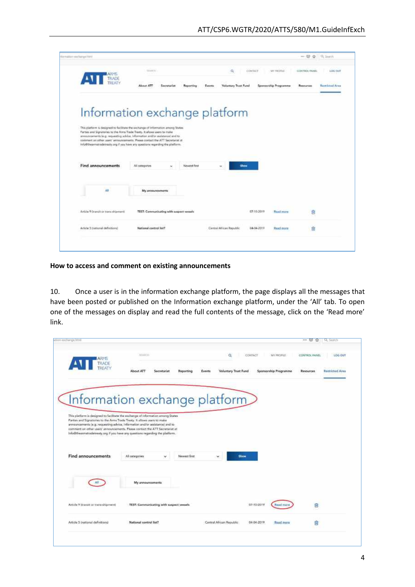|                                                                           | <b>CEARTS</b>                                                                                                                                                                                                                               | $\Omega_{\rm c}$               | Colea Teach | MIT FROFFICE                 | CONTROL FIVES | LOS DUT                |
|---------------------------------------------------------------------------|---------------------------------------------------------------------------------------------------------------------------------------------------------------------------------------------------------------------------------------------|--------------------------------|-------------|------------------------------|---------------|------------------------|
| $\sqrt{11}$<br>TRADE<br>TREATY                                            | TK headA<br>Saerotariat<br>Reporting                                                                                                                                                                                                        | Valuntary Trust Fund<br>Frents |             | <b>Sponsorskip Programms</b> | Resources     | <b>Bastricted Area</b> |
|                                                                           | Information exchange platform                                                                                                                                                                                                               |                                |             |                              |               |                        |
|                                                                           |                                                                                                                                                                                                                                             |                                |             |                              |               |                        |
| Parties and Signatories to the Arms Trade Treaty. It allows users to make | This platform is designed to facilitate the exchange of information artiong States                                                                                                                                                          |                                |             |                              |               |                        |
|                                                                           | announcements le g. requesting advice, information and/or assistance) and to<br>nonment on other users' amountements. Please contact the ATT Secretariat at<br>info@thearmstradetreaty.org if you have any spectium regarding the platform. |                                |             |                              |               |                        |
|                                                                           |                                                                                                                                                                                                                                             |                                |             |                              |               |                        |
|                                                                           |                                                                                                                                                                                                                                             |                                |             |                              |               |                        |
| Find announcements                                                        | Newest first<br>All categories<br>39                                                                                                                                                                                                        | Show<br>÷                      |             |                              |               |                        |
|                                                                           |                                                                                                                                                                                                                                             |                                |             |                              |               |                        |
|                                                                           |                                                                                                                                                                                                                                             |                                |             |                              |               |                        |
| Atl                                                                       | My announcements:                                                                                                                                                                                                                           |                                |             |                              |               |                        |
|                                                                           |                                                                                                                                                                                                                                             |                                |             |                              |               |                        |
| Article 9 Dramit or trans shipments                                       | TEST: Communicating with suspect vessels                                                                                                                                                                                                    |                                | 07:55:3019  | <b>Wasab Island</b>          | 卣             |                        |
| Article 3 (national definitions)                                          | National control list?                                                                                                                                                                                                                      | Central African Republic       | 04-04-2015  | <b>Read more</b>             | 龠             |                        |

<span id="page-3-0"></span>**How to access and comment on existing announcements** 

10. Once a user is in the information exchange platform, the page displays all the messages that have been posted or published on the Information exchange platform, under the 'All' tab. To open one of the messages on display and read the full contents of the message, click on the 'Read more' link.

|                                                                           |                                                                                                                                                              |                                        |                       | ese (57)<br>÷ | Q, Seatch              |
|---------------------------------------------------------------------------|--------------------------------------------------------------------------------------------------------------------------------------------------------------|----------------------------------------|-----------------------|---------------|------------------------|
| ARMS<br><b>ATT</b><br>TRADE                                               | <b>SOURCES</b>                                                                                                                                               | CONTACT<br>o                           | MY PROFILE            | CONTROL PANEL | LOG OUT                |
|                                                                           | About ATT<br>Events<br>Secretariat<br>Reporting                                                                                                              | Voluntary Trust Fund                   | Sponsorship Programme | Resources.    | <b>Hastricted Aces</b> |
|                                                                           |                                                                                                                                                              |                                        |                       |               |                        |
|                                                                           |                                                                                                                                                              |                                        |                       |               |                        |
|                                                                           | Information exchange platform                                                                                                                                |                                        |                       |               |                        |
|                                                                           |                                                                                                                                                              |                                        |                       |               |                        |
| Parties and Signatories to the Arms Trade Treaty. It allows users to make | This platform is designed to facilitate the exchange of information among States                                                                             |                                        |                       |               |                        |
|                                                                           | announcements (e.g. requesting advice, information and/or assistance) and to<br>comment on other users' announcements. Please contact the ATT Secretarist at |                                        |                       |               |                        |
|                                                                           | Info@theanmatradetreaty.org if you have any questions regarding the platform.                                                                                |                                        |                       |               |                        |
|                                                                           |                                                                                                                                                              |                                        |                       |               |                        |
|                                                                           |                                                                                                                                                              |                                        |                       |               |                        |
|                                                                           |                                                                                                                                                              |                                        |                       |               |                        |
| <b>Find announcements</b>                                                 | All categories<br>Newest first<br>$\checkmark$                                                                                                               | <b>Show</b>                            |                       |               |                        |
|                                                                           |                                                                                                                                                              |                                        |                       |               |                        |
|                                                                           |                                                                                                                                                              |                                        |                       |               |                        |
|                                                                           | My announcements                                                                                                                                             |                                        |                       |               |                        |
|                                                                           |                                                                                                                                                              |                                        |                       |               |                        |
|                                                                           |                                                                                                                                                              |                                        |                       |               |                        |
| Article 9 (transit or trans-shipment)                                     | TEST: Communicating with suspect vessels                                                                                                                     | 07-10-2019                             | <b>Head</b> foo       | ß             |                        |
|                                                                           |                                                                                                                                                              |                                        |                       |               |                        |
| Article 5 Instignal definitions)                                          | National control list?                                                                                                                                       | Central African Republic<br>04-04-2019 | <b>Read reorn</b>     | A             |                        |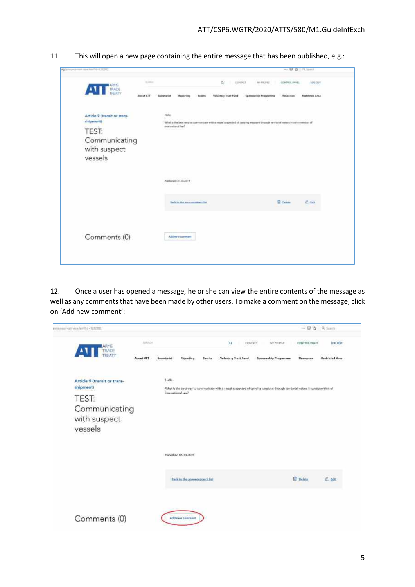| 11. |  |  |  |  | This will open a new page containing the entire message that has been published, e.g.: |
|-----|--|--|--|--|----------------------------------------------------------------------------------------|
|-----|--|--|--|--|----------------------------------------------------------------------------------------|

| <b>ATT</b>                                | SLAND     |               |                                                        |               | Q.                    | CONTACT<br>л.<br>ilin Sur | BY: PROFILE                                                                                                                   | CONTROL PANEL    | VOG OUT         |
|-------------------------------------------|-----------|---------------|--------------------------------------------------------|---------------|-----------------------|---------------------------|-------------------------------------------------------------------------------------------------------------------------------|------------------|-----------------|
|                                           | About ATT | Sommerlet     | Raporting                                              | <b>Events</b> | Valuntary Truet Foret |                           | <b>Spensorship Programme</b>                                                                                                  | Resources        | Restricted Area |
| Article 9 (transit or trans-<br>shipment) |           | <b>Farley</b> |                                                        |               |                       |                           |                                                                                                                               |                  |                 |
| <b>TEST:</b>                              |           |               | <b>Even Screenward</b>                                 |               |                       |                           | What is the best way to communicate with a vessel suspected of conying vesquare through territorial waters in contraverban of |                  |                 |
| Communicating<br>with suspect<br>vessels  |           |               |                                                        |               |                       |                           |                                                                                                                               |                  |                 |
|                                           |           |               | a third and consistent<br>Published 07-10-2019<br>31 R |               |                       |                           |                                                                                                                               |                  |                 |
|                                           |           |               | Back to the announcement lot.                          |               |                       |                           |                                                                                                                               | <b>El Defete</b> | 2.10            |
| Comments (0)                              |           |               | Add new carment                                        |               |                       |                           |                                                                                                                               |                  |                 |

12. Once a user has opened a message, he or she can view the entire contents of the message as well as any comments that have been made by other users. To make a comment on the message, click on 'Add new comment':

| ARMS<br>$\sqrt{11}$                       | <b>SULFICIAL</b> |              |                               |        | $\alpha$<br>CONTACT  | <b>MYPEPSE</b>                                                                                                                | CONTROL PANEL    | <b>LOG CIVIT</b>       |
|-------------------------------------------|------------------|--------------|-------------------------------|--------|----------------------|-------------------------------------------------------------------------------------------------------------------------------|------------------|------------------------|
|                                           | <b>About ATT</b> | Secretarist  | limporting.                   | Events | Voluntary Trust Fund | Sponsorship Programme                                                                                                         | Янкомтоне        | <b>Restricted Area</b> |
| Article 9 (transit or trans-<br>shipment) |                  | <b>Halls</b> |                               |        |                      |                                                                                                                               |                  |                        |
|                                           |                  |              | International law?            |        |                      | What is the best way to communicate with a vessel suspected of canying weapons through territorial waters in contravertion of |                  |                        |
| TEST:                                     |                  |              |                               |        |                      |                                                                                                                               |                  |                        |
| Communicating                             |                  |              |                               |        |                      |                                                                                                                               |                  |                        |
| with suspect                              |                  |              |                               |        |                      |                                                                                                                               |                  |                        |
| vessels                                   |                  |              |                               |        |                      |                                                                                                                               |                  |                        |
|                                           |                  |              |                               |        |                      |                                                                                                                               |                  |                        |
|                                           |                  |              |                               |        |                      |                                                                                                                               |                  |                        |
|                                           |                  |              | Published 07-10-2019          |        |                      |                                                                                                                               |                  |                        |
|                                           |                  |              |                               |        |                      |                                                                                                                               |                  |                        |
|                                           |                  |              |                               |        |                      |                                                                                                                               | <b>El Delate</b> |                        |
|                                           |                  |              | Back to the announcement Fer- |        |                      |                                                                                                                               |                  | $<$ tdt                |
|                                           |                  |              |                               |        |                      |                                                                                                                               |                  |                        |
|                                           |                  |              |                               |        |                      |                                                                                                                               |                  |                        |
|                                           |                  |              |                               |        |                      |                                                                                                                               |                  |                        |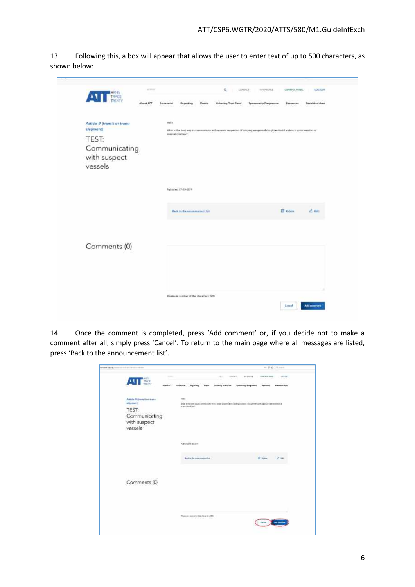13. Following this, a box will appear that allows the user to enter text of up to 500 characters, as shown below:

| <b>ATT</b> TINCK                          | 15/11/11  |             |                                         |        | a                           | <b>GENTACT</b> | MY/RONE                                                                                                                      | CONTROL IMAGE  | <b>LOIG ONT</b>        |
|-------------------------------------------|-----------|-------------|-----------------------------------------|--------|-----------------------------|----------------|------------------------------------------------------------------------------------------------------------------------------|----------------|------------------------|
|                                           | About ATT | Secretarian | Beporting                               | Events | <b>Voluntary Trust Fund</b> |                | <b>Spenarship Programme</b>                                                                                                  | Researces      | <b>Bestricted Area</b> |
| Article 9 (transit or trans-<br>shipment) |           | Helio       |                                         |        |                             |                | What is the best way to communicate with a vessel suspected of conying weapons through territorial waters in compawrition of |                |                        |
| TEST:                                     |           |             | iviernationsTiaw?                       |        |                             |                |                                                                                                                              |                |                        |
| Communicating<br>with suspect<br>vessels  |           |             |                                         |        |                             |                |                                                                                                                              |                |                        |
|                                           |           |             | Published: 02-10-2019                   |        |                             |                |                                                                                                                              |                |                        |
|                                           |           |             |                                         |        |                             |                |                                                                                                                              |                |                        |
|                                           |           |             | <b>Back to the associations and Bab</b> |        |                             |                |                                                                                                                              | <b>B</b> think | 2.88                   |
| Comments (0)                              |           |             |                                         |        |                             |                |                                                                                                                              |                |                        |
|                                           |           |             |                                         |        |                             |                |                                                                                                                              |                |                        |
|                                           |           |             |                                         |        |                             |                |                                                                                                                              |                |                        |
|                                           |           |             | Maximum number of the sharecters: 900.  |        |                             |                |                                                                                                                              |                |                        |
|                                           |           |             |                                         |        |                             |                |                                                                                                                              | Carmel         | Additionment           |

14. Once the comment is completed, press 'Add comment' or, if you decide not to make a comment after all, simply press 'Cancel'. To return to the main page where all messages are listed, press 'Back to the announcement list'.

| The party of the U.S. In the contract of the first state of the con-                              | $-0.01$ (2) $-0.01$                                                                                                                                                                                                                                                                                           |
|---------------------------------------------------------------------------------------------------|---------------------------------------------------------------------------------------------------------------------------------------------------------------------------------------------------------------------------------------------------------------------------------------------------------------|
| --<br>AVI NO<br>Head ATT                                                                          | 92.1<br>APRILLA<br>33001<br>1001087<br>CONTROL MAIN<br>-sen<br><b>Linger</b><br>Tabia.<br>15<br><b>DOM NO</b><br><b>Contractor</b><br>$-0.01$<br><b>Speworkly Tragement</b><br><b>Number Ave</b><br><b>Stillatory Tract Field</b><br><b>Basement</b><br><b>Samstarian</b><br><b>Bacareng</b><br><b>Enamed</b> |
| Article V Warsit or train-<br>manueli<br><b>TEST:</b><br>Communicating<br>with suspect<br>vessels | Helen<br>10. 연장에 10% 이 이 회사를 만들어 보여 있는 아이들.<br>22,000-228<br>What is the look way its strength play of it is rent talance of it carrying compare. Many the model support to be more model of<br>or workload (ear)                                                                                             |
|                                                                                                   | <b>Publicat Of Thiers</b>                                                                                                                                                                                                                                                                                     |
|                                                                                                   | <b>Distance</b><br>$\sim 100$<br>And in the components has                                                                                                                                                                                                                                                    |
| Comments (0)                                                                                      |                                                                                                                                                                                                                                                                                                               |
|                                                                                                   |                                                                                                                                                                                                                                                                                                               |
|                                                                                                   | Warehouse consists of two doubless (193)<br>.                                                                                                                                                                                                                                                                 |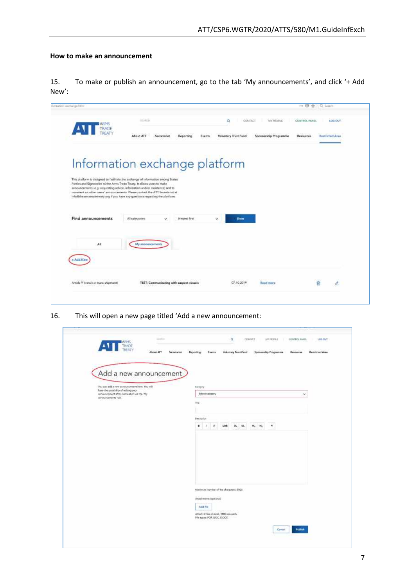# <span id="page-6-0"></span>**How to make an announcement**

15. To make or publish an announcement, go to the tab 'My announcements', and click '+ Add New':

| <b>TRADE</b>                                                              | <b>ISLANDIN</b>                                                                                                                                              | CONTACT<br>a                | <b>MY PROFILE</b>              | CONTROL PANEL | LOG-OUT                |
|---------------------------------------------------------------------------|--------------------------------------------------------------------------------------------------------------------------------------------------------------|-----------------------------|--------------------------------|---------------|------------------------|
|                                                                           | About ATT<br>Secretariat<br>Reporting<br>Events                                                                                                              | <b>Voluntary Trust Fund</b> | Sponsorship Programme          | Resources     | <b>Restricted Area</b> |
|                                                                           |                                                                                                                                                              |                             |                                |               |                        |
|                                                                           | Information exchange platform                                                                                                                                |                             |                                |               |                        |
| Parties and Signatories to the Arms Trade Treaty. It allows users to make | This platform is designed to facilitate the exchange of information among States                                                                             |                             |                                |               |                        |
|                                                                           | announcements le.g. requesting advice, information and/or assistance) and to<br>comment on other users' announcements. Please contact the ATT Secretarist at |                             |                                |               |                        |
|                                                                           | info@theamtstradetreaty.org if you have any questions regarding the platform.                                                                                |                             |                                |               |                        |
| Find announcements                                                        | Newest first<br>All categories<br>÷.                                                                                                                         | <b>Show</b><br>v.           |                                |               |                        |
|                                                                           |                                                                                                                                                              |                             |                                |               |                        |
|                                                                           | My announcements                                                                                                                                             |                             |                                |               |                        |
| AE.                                                                       |                                                                                                                                                              |                             |                                |               |                        |
|                                                                           |                                                                                                                                                              |                             |                                |               |                        |
| Arrist Non                                                                |                                                                                                                                                              |                             |                                |               |                        |
| Article 9 Brandt or there-shipment!                                       | TEST: Communicating with suspect vessels                                                                                                                     | 07-10-2019                  | <b><i><u>Read more</u></i></b> |               | 俞                      |

16. This will open a new page titled 'Add a new announcement:

|                                                                                                          | <b>Voluntary Trunt Punch</b><br>Spansonhip Programms<br><b>Restricted Area</b><br>Reporting<br><b>Buents</b><br>Secretariat<br><b>Resources</b> |
|----------------------------------------------------------------------------------------------------------|-------------------------------------------------------------------------------------------------------------------------------------------------|
| Add a new announcement                                                                                   |                                                                                                                                                 |
| Too can add a new announcement here. You will                                                            | Catalony                                                                                                                                        |
| have the possibility of wilting your<br>announcement after publication via the Wy<br>announcements' tob. | Select salegary<br>w.                                                                                                                           |
|                                                                                                          | 195                                                                                                                                             |
|                                                                                                          | Designion.                                                                                                                                      |
|                                                                                                          | $\cup$<br>0L<br>u<br>啦<br>٠<br>٠<br>Link<br><b>Hi</b><br>A                                                                                      |
|                                                                                                          |                                                                                                                                                 |
|                                                                                                          |                                                                                                                                                 |
|                                                                                                          |                                                                                                                                                 |
|                                                                                                          |                                                                                                                                                 |
|                                                                                                          | Maximize number of the characters (\$990).                                                                                                      |
|                                                                                                          | Attachments (riptional)                                                                                                                         |
|                                                                                                          | Add file<br>120.50                                                                                                                              |
|                                                                                                          | Attach 3 files at most, SMB size each.<br>File types: PDF, DOC, DOCK.                                                                           |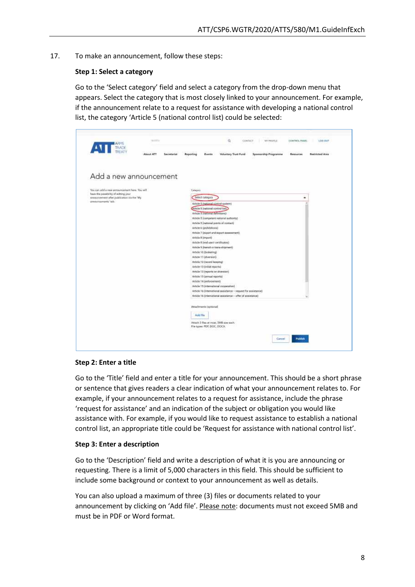17. To make an announcement, follow these steps:

### **Step 1: Select a category**

Go to the 'Select category' field and select a category from the drop-down menu that appears. Select the category that is most closely linked to your announcement. For example, if the announcement relate to a request for assistance with developing a national control list, the category 'Article 5 (national control list) could be selected:

| $\mathbf{A}$<br>THADE                                                             |                                                                                                                                 |  |  |  |  |  |
|-----------------------------------------------------------------------------------|---------------------------------------------------------------------------------------------------------------------------------|--|--|--|--|--|
| About ATT                                                                         | Reporting<br><b>Voluntary Trust Pund</b><br>Spomorskip Programme<br><b>Hustrichad Area</b><br>Secretarian<br>Events<br>Површени |  |  |  |  |  |
| Add a new announcement                                                            |                                                                                                                                 |  |  |  |  |  |
|                                                                                   |                                                                                                                                 |  |  |  |  |  |
| You can add a new announcement hare. You will                                     | Culturyon's                                                                                                                     |  |  |  |  |  |
| have the possibility of eching your<br>ennouncement after publication via the 'My | <b>Believit conegary</b><br>œ.                                                                                                  |  |  |  |  |  |
| presencements' tals:                                                              | Artisle 5 (rational sector system)                                                                                              |  |  |  |  |  |
|                                                                                   | Article 1 (national control kett)                                                                                               |  |  |  |  |  |
|                                                                                   | Artigie 5 (net innet nefinitions)                                                                                               |  |  |  |  |  |
|                                                                                   | Article 5 (comprient rational authority)                                                                                        |  |  |  |  |  |
|                                                                                   | Article 3 (national pennts of contact)                                                                                          |  |  |  |  |  |
|                                                                                   | Article 4 (prohibitions)                                                                                                        |  |  |  |  |  |
|                                                                                   | Article 7 (esport and export assessment)<br>Article 8 (import)                                                                  |  |  |  |  |  |
|                                                                                   | Article il Tend usent certificates).                                                                                            |  |  |  |  |  |
|                                                                                   | Onwrights-enable to fisically 9 elocity.                                                                                        |  |  |  |  |  |
|                                                                                   | Article 10 (bookering)                                                                                                          |  |  |  |  |  |
|                                                                                   | Article 11 (diversion)                                                                                                          |  |  |  |  |  |
|                                                                                   | Article 12 (record keeping)                                                                                                     |  |  |  |  |  |
|                                                                                   | Article 13 (initial reports)                                                                                                    |  |  |  |  |  |
|                                                                                   | Article 13 (reports on diversion)                                                                                               |  |  |  |  |  |
|                                                                                   | Article 13 (onnual reports)<br>Artiste 14 (enforcement)                                                                         |  |  |  |  |  |
|                                                                                   | Article 13 (international cooperation)                                                                                          |  |  |  |  |  |
|                                                                                   | Article 16 (international assistance - request for assistance)                                                                  |  |  |  |  |  |
|                                                                                   | Article 18 (international assistance - offer of assistance)                                                                     |  |  |  |  |  |
|                                                                                   | Attachments (optional)                                                                                                          |  |  |  |  |  |
|                                                                                   | Askit Eliz                                                                                                                      |  |  |  |  |  |
|                                                                                   | Attach 3 files at most, 3MB size stack.<br>File types: PDF, DGC, DGCX.                                                          |  |  |  |  |  |
|                                                                                   |                                                                                                                                 |  |  |  |  |  |

#### **Step 2: Enter a title**

Go to the 'Title' field and enter a title for your announcement. This should be a short phrase or sentence that gives readers a clear indication of what your announcement relates to. For example, if your announcement relates to a request for assistance, include the phrase 'request for assistance' and an indication of the subject or obligation you would like assistance with. For example, if you would like to request assistance to establish a national control list, an appropriate title could be 'Request for assistance with national control list'.

#### **Step 3: Enter a description**

Go to the 'Description' field and write a description of what it is you are announcing or requesting. There is a limit of 5,000 characters in this field. This should be sufficient to include some background or context to your announcement as well as details.

You can also upload a maximum of three (3) files or documents related to your announcement by clicking on 'Add file'. Please note: documents must not exceed 5MB and must be in PDF or Word format.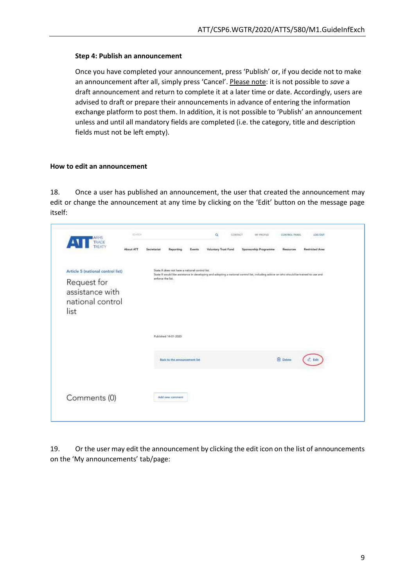#### **Step 4: Publish an announcement**

Once you have completed your announcement, press 'Publish' or, if you decide not to make an announcement after all, simply press 'Cancel'. Please note: it is not possible to *save* a draft announcement and return to complete it at a later time or date. Accordingly, users are advised to draft or prepare their announcements in advance of entering the information exchange platform to post them. In addition, it is not possible to 'Publish' an announcement unless and until all mandatory fields are completed (i.e. the category, title and description fields must not be left empty).

#### <span id="page-8-0"></span>**How to edit an announcement**

18. Once a user has published an announcement, the user that created the announcement may edit or change the announcement at any time by clicking on the 'Edit' button on the message page itself:

| ARMS<br>TRADE<br>THEATY<br>$\sqrt{1}$                                                           | <b>WARDE</b> |                   |                                                                                                                                                                                          |         | $\alpha$                    | <b>CONTACT</b><br><b>MY PROFAE</b><br>-18005                                                                                          | CONTROL FANEL<br>a matematika ma | LOG OUT<br>تتمشت                           |  |
|-------------------------------------------------------------------------------------------------|--------------|-------------------|------------------------------------------------------------------------------------------------------------------------------------------------------------------------------------------|---------|-----------------------------|---------------------------------------------------------------------------------------------------------------------------------------|----------------------------------|--------------------------------------------|--|
|                                                                                                 | About ATT    | Secretariat       | Reporting                                                                                                                                                                                | Events. | <b>Voluntary Trust Fund</b> | Sponsorship Programme.                                                                                                                | <b><i>HANOUTERS</i></b><br>35    | <b>Restricted Area</b><br>88<br>141 - Jane |  |
| Article 5 (national control list)<br>Request for<br>assistance with<br>national control<br>list |              | embroy that list. | State X does not have a national control list.<br>the strength for the first state                                                                                                       |         |                             | State X would like anintance in developing and adopting a national control list, including advice an who should be trained to our and |                                  |                                            |  |
|                                                                                                 |              |                   | Published 14-01-2020                                                                                                                                                                     |         |                             |                                                                                                                                       |                                  |                                            |  |
|                                                                                                 |              |                   | <b>INVESTIGATION</b> CONTINUES<br>Back to the announcement list<br><b>ATTOROGY AND A MARKET AND A STATE OF A STATE OF A STATE OF A STATE OF A STATE OF A STATE OF A STATE OF A STATE</b> |         |                             |                                                                                                                                       | <b>El</b> Delate                 |                                            |  |
| Comments (0)                                                                                    |              |                   | Add new comment                                                                                                                                                                          |         |                             |                                                                                                                                       |                                  |                                            |  |
|                                                                                                 |              |                   |                                                                                                                                                                                          |         |                             |                                                                                                                                       |                                  |                                            |  |

19. Or the user may edit the announcement by clicking the edit icon on the list of announcements on the 'My announcements' tab/page: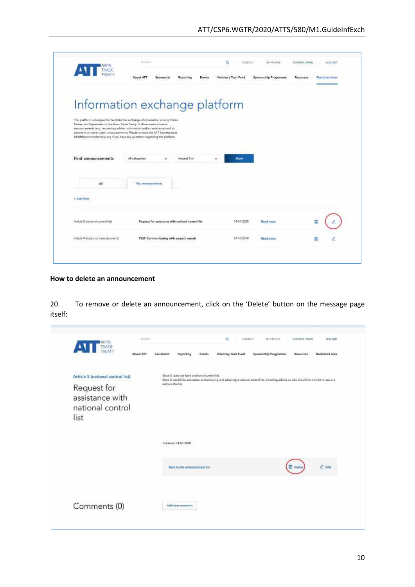| About ATT<br>Sponsorship Programme<br>Reporting<br>Events<br>Voluntary Trust Fund<br>Secretariat<br>Information exchange platform<br>Parties and Signitories to the Arms Trade Treaty. It allows users to make | <b>Restricted Area</b><br>Resources |
|----------------------------------------------------------------------------------------------------------------------------------------------------------------------------------------------------------------|-------------------------------------|
|                                                                                                                                                                                                                |                                     |
| This platform is designed to facilitate the archange of information among States                                                                                                                               |                                     |
|                                                                                                                                                                                                                |                                     |
|                                                                                                                                                                                                                |                                     |
| attricumpenents (e.g. requesting advice, information and/or assistance) and to<br>comment on other users' announcements. Please contact the ATT Secretariat at                                                 |                                     |
| Info@thearmitradetreaty.org if you have any questions regarding the platform.                                                                                                                                  |                                     |
| Find announcements<br>All categories<br>Newest first<br>Strow<br>$\mathbf{v}$<br>v                                                                                                                             |                                     |
|                                                                                                                                                                                                                |                                     |
| All<br>My announcements                                                                                                                                                                                        |                                     |
|                                                                                                                                                                                                                |                                     |
| + Add New                                                                                                                                                                                                      |                                     |
|                                                                                                                                                                                                                |                                     |
| Request for assistance with national control list<br>Article 5 (national cormol list)<br>14-01-2020<br><b>Rigid coore</b>                                                                                      |                                     |
|                                                                                                                                                                                                                | <b>Read more</b><br>自               |

#### <span id="page-9-0"></span>**How to delete an announcement**

20. To remove or delete an announcement, click on the 'Delete' button on the message page itself:

| TRADE<br>About ATT                                                                              | Reporting<br><b>Secretariat</b>                                     | <b>Voluntary Trust Fund</b><br>Events                                                                                                  | Sponsorship Programme | Resources        | Restricted Area |
|-------------------------------------------------------------------------------------------------|---------------------------------------------------------------------|----------------------------------------------------------------------------------------------------------------------------------------|-----------------------|------------------|-----------------|
| Article 5 (national control list)<br>Request for<br>assistance with<br>national control<br>list | State X does not have a national control list.<br>enforce the list. | State X would like assistance in developing and adopting a national control list, including advice on who should be trained to use and |                       |                  |                 |
|                                                                                                 | Published 14-01-2020                                                |                                                                                                                                        |                       |                  |                 |
|                                                                                                 | <b>Back to the announcement list</b>                                |                                                                                                                                        |                       | <b>10 Delata</b> | $e$ time        |
| Comments (0)                                                                                    | Add new comment                                                     |                                                                                                                                        |                       |                  |                 |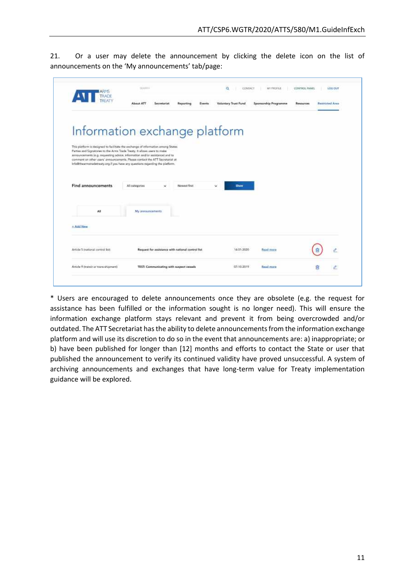21. Or a user may delete the announcement by clicking the delete icon on the list of announcements on the 'My announcements' tab/page:

| $\sqrt{1}$                                                                                                                                                                                                                                  | About ATT<br>Secretariat<br>Events<br>Reporting                                                                                                                                                   | <b>Voluntary Trust Fund</b> | Sponsorship Programme          | Resources | <b>Bastricted Area</b> |
|---------------------------------------------------------------------------------------------------------------------------------------------------------------------------------------------------------------------------------------------|---------------------------------------------------------------------------------------------------------------------------------------------------------------------------------------------------|-----------------------------|--------------------------------|-----------|------------------------|
| Parties and Signatories to the Arms Trade Treaty. It allows users to make<br>arriouncements (e.g. requesting advice, information and/or assistance) and to<br>info@thearmstradetreaty.org if you have any questions regarding the platform. | Information exchange platform<br>This platform is designed to facilitate the exchange of information among States<br>comment on other users' announcements. Please contact the ATT Secretarist at |                             |                                |           |                        |
| Find announcements                                                                                                                                                                                                                          | Newcat first.<br>All categories<br>v                                                                                                                                                              | w.<br><b>Show</b>           |                                |           |                        |
|                                                                                                                                                                                                                                             | My announcements                                                                                                                                                                                  |                             |                                |           |                        |
| AE                                                                                                                                                                                                                                          |                                                                                                                                                                                                   |                             |                                |           |                        |
| + Add New                                                                                                                                                                                                                                   |                                                                                                                                                                                                   |                             |                                |           |                        |
| Article 5 mational control list!                                                                                                                                                                                                            | Request for assistance with national control list.                                                                                                                                                | 14/01-2020                  | <b>RUAL</b> <i><b>MAIR</b></i> |           |                        |

\* Users are encouraged to delete announcements once they are obsolete (e.g. the request for assistance has been fulfilled or the information sought is no longer need). This will ensure the information exchange platform stays relevant and prevent it from being overcrowded and/or outdated. The ATT Secretariat has the ability to delete announcements from the information exchange platform and will use its discretion to do so in the event that announcements are: a) inappropriate; or b) have been published for longer than [12] months and efforts to contact the State or user that published the announcement to verify its continued validity have proved unsuccessful. A system of archiving announcements and exchanges that have long-term value for Treaty implementation guidance will be explored.